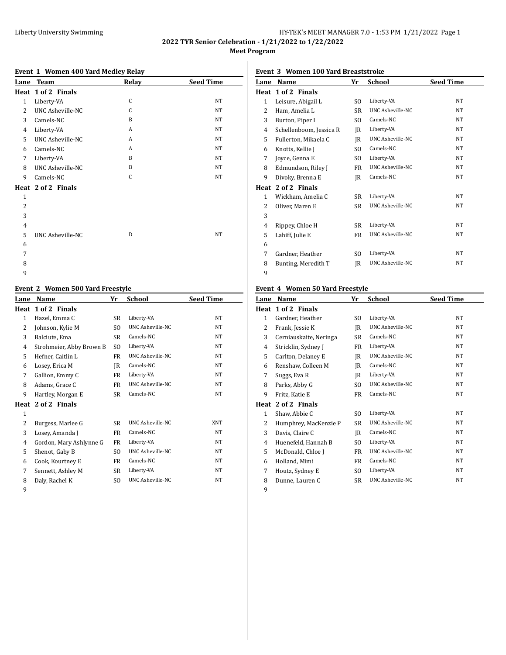# Liberty University Swimming **Exercise 2018** HY-TEK's MEET MANAGER 7.0 - 1:53 PM 1/21/2022 Page 1

**2022 TYR Senior Celebration - 1/21/2022 to 1/22/2022 Meet Program**

#### **Event 1 Women 400 Yard Medley Relay**

| Lane           | <b>Team</b>             | Relay | <b>Seed Time</b> |
|----------------|-------------------------|-------|------------------|
|                | Heat 1 of 2 Finals      |       |                  |
| $\mathbf{1}$   | Liberty-VA              | C     | <b>NT</b>        |
| 2              | UNC Asheville-NC        | C     | <b>NT</b>        |
| 3              | Camels-NC               | B     | <b>NT</b>        |
| 4              | Liberty-VA              | A     | <b>NT</b>        |
| 5              | UNC Asheville-NC        | A     | <b>NT</b>        |
| 6              | Camels-NC               | A     | <b>NT</b>        |
| 7              | Liberty-VA              | B     | <b>NT</b>        |
| 8              | <b>UNC Asheville-NC</b> | B     | <b>NT</b>        |
| 9              | Camels-NC               | C     | <b>NT</b>        |
|                | Heat 2 of 2 Finals      |       |                  |
| $\mathbf{1}$   |                         |       |                  |
| 2              |                         |       |                  |
| 3              |                         |       |                  |
| $\overline{4}$ |                         |       |                  |
| 5              | <b>UNC Asheville-NC</b> | D     | <b>NT</b>        |
| 6              |                         |       |                  |
| 7              |                         |       |                  |
| 8              |                         |       |                  |
| 9              |                         |       |                  |

### **Event 2 Women 500 Yard Freestyle**

| Lane         | Name                     | Yr  | School           | <b>Seed Time</b> |
|--------------|--------------------------|-----|------------------|------------------|
|              | Heat 1 of 2 Finals       |     |                  |                  |
| $\mathbf{1}$ | Hazel, Emma C            | SR  | Liberty-VA       | NT               |
| 2            | Johnson, Kylie M         | SO. | UNC Asheville-NC | NT               |
| 3            | Balciute, Ema            | SR  | Camels-NC        | NT               |
| 4            | Strohmeier, Abby Brown B | SO. | Liberty-VA       | NT               |
| 5            | Hefner, Caitlin L        | FR  | UNC Asheville-NC | NT               |
| 6            | Losey, Erica M           | JR  | Camels-NC        | NT               |
| 7            | Gallion, Emmy C          | FR  | Liberty-VA       | NT               |
| 8            | Adams, Grace C           | FR  | UNC Asheville-NC | NT               |
| 9            | Hartley, Morgan E        | SR  | Camels-NC        | NT               |
|              | Heat 2 of 2 Finals       |     |                  |                  |
| $\mathbf{1}$ |                          |     |                  |                  |
| 2            | Burgess, Marlee G        | SR. | UNC Asheville-NC | <b>XNT</b>       |
| 3            | Losey, Amanda J          | FR  | Camels-NC        | NT               |
| 4            | Gordon, Mary Ashlynne G  | FR  | Liberty-VA       | NT               |
| 5            | Shenot, Gaby B           | SO. | UNC Asheville-NC | NT               |
| 6            | Cook, Kourtney E         | FR  | Camels-NC        | NT               |
| 7            | Sennett, Ashley M        | SR  | Liberty-VA       | NT               |
| 8            | Daly, Rachel K           | SO  | UNC Asheville-NC | NT               |
| 9            |                          |     |                  |                  |

## **Event 3 Women 100 Yard Breaststroke**

| Lane         | Name                    | Yr  | School                  | <b>Seed Time</b> |
|--------------|-------------------------|-----|-------------------------|------------------|
|              | Heat 1 of 2 Finals      |     |                         |                  |
| $\mathbf{1}$ | Leisure, Abigail L      | SO. | Liberty-VA              | NT.              |
| 2            | Ham, Amelia L           | SR  | <b>UNC Asheville-NC</b> | <b>NT</b>        |
| 3            | Burton, Piper I         | SO. | Camels-NC               | <b>NT</b>        |
| 4            | Schellenboom, Jessica R | IR  | Liberty-VA              | <b>NT</b>        |
| 5            | Fullerton, Mikaela C    | JR  | <b>UNC Asheville-NC</b> | <b>NT</b>        |
| 6            | Knotts, Kellie J        | SO. | Camels-NC               | <b>NT</b>        |
| 7            | Joyce, Genna E          | SO. | Liberty-VA              | <b>NT</b>        |
| 8            | Edmundson, Riley J      | FR  | UNC Asheville-NC        | <b>NT</b>        |
| 9            | Divoky, Brenna E        | IR  | Camels-NC               | <b>NT</b>        |
| Heat         | 2 of 2 Finals           |     |                         |                  |
| $\mathbf{1}$ | Wickham, Amelia C       | SR  | Liberty-VA              | <b>NT</b>        |
| 2            | Oliver, Maren E         | SR. | <b>UNC Asheville-NC</b> | NT               |
| 3            |                         |     |                         |                  |
| 4            | Rippey, Chloe H         | SR  | Liberty-VA              | <b>NT</b>        |
| 5            | Lahiff, Julie E         | FR  | <b>UNC Asheville-NC</b> | <b>NT</b>        |
| 6            |                         |     |                         |                  |
| 7            | Gardner, Heather        | SO. | Liberty-VA              | <b>NT</b>        |
| 8            | Bunting, Meredith T     | IR  | <b>UNC Asheville-NC</b> | NT.              |
| 9            |                         |     |                         |                  |

### **Event 4 Women 50 Yard Freestyle**

| Lane         | Name                   | Yr  | <b>School</b>           | <b>Seed Time</b> |
|--------------|------------------------|-----|-------------------------|------------------|
| Heat         | 1 of 2 Finals          |     |                         |                  |
| $\mathbf{1}$ | Gardner, Heather       | SO. | Liberty-VA              | NT.              |
| 2            | Frank, Jessie K        | IR  | <b>UNC Asheville-NC</b> | NT.              |
| 3            | Cerniauskaite, Neringa | SR. | Camels-NC               | NT.              |
| 4            | Stricklin, Sydney J    | FR  | Liberty-VA              | NT.              |
| 5            | Carlton, Delaney E     | IR  | <b>UNC Asheville-NC</b> | NT.              |
| 6            | Renshaw, Colleen M     | IR  | Camels-NC               | NT.              |
| 7            | Suggs, Eva R           | IR  | Liberty-VA              | NT.              |
| 8            | Parks, Abby G          | SO. | <b>UNC Asheville-NC</b> | <b>NT</b>        |
| 9            | Fritz, Katie E         | FR  | Camels-NC               | NT.              |
| Heat         | 2 of 2 Finals          |     |                         |                  |
| 1            | Shaw, Abbie C          | SO. | Liberty-VA              | NT               |
| 2            | Humphrey, MacKenzie P  | SR  | <b>UNC Asheville-NC</b> | NT               |
| 3            | Davis, Claire C        | IR  | Camels-NC               | NT               |
| 4            | Huenefeld, Hannah B    | SO. | Liberty-VA              | NT.              |
| 5            | McDonald, Chloe J      | FR  | <b>UNC Asheville-NC</b> | <b>NT</b>        |
| 6            | Holland, Mimi          | FR  | Camels-NC               | <b>NT</b>        |
| 7            | Houtz, Sydney E        | SO. | Liberty-VA              | NT               |
| 8            | Dunne, Lauren C        | SR. | UNC Asheville-NC        | NT.              |
| 9            |                        |     |                         |                  |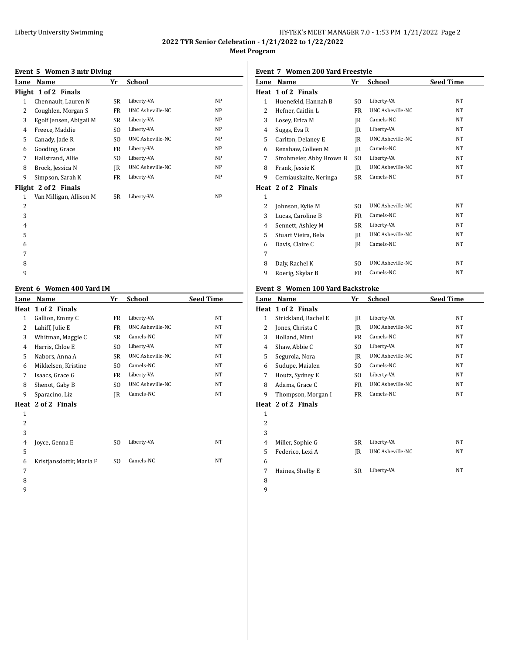# Liberty University Swimming **Exercise 2 and Serversity Swimming** HY-TEK's MEET MANAGER 7.0 - 1:53 PM 1/21/2022 Page 2

**2022 TYR Senior Celebration - 1/21/2022 to 1/22/2022 Meet Program**

#### **Event 5 Women 3 mtr Diving**

|                | елене эт концен этие ричне |                |                         |           |
|----------------|----------------------------|----------------|-------------------------|-----------|
| Lane           | Name                       | Yr             | School                  |           |
|                | Flight 1 of 2 Finals       |                |                         |           |
| $\mathbf{1}$   | Chennault, Lauren N        | <b>SR</b>      | Liberty-VA              | NP        |
| 2              | Coughlen, Morgan S         | FR             | UNC Asheville-NC        | NP        |
| 3              | Egolf Jensen, Abigail M    | SR             | Liberty-VA              | <b>NP</b> |
| 4              | Freece, Maddie             | S <sub>O</sub> | Liberty-VA              | NP.       |
| 5              | Canady, Jade R             | SO.            | UNC Asheville-NC        | NP        |
| 6              | Gooding, Grace             | FR             | Liberty-VA              | NP        |
| 7              | Hallstrand, Allie          | SO.            | Liberty-VA              | NP        |
| 8              | Brock, Jessica N           | IR             | <b>UNC Asheville-NC</b> | <b>NP</b> |
| 9              | Simpson, Sarah K           | FR             | Liberty-VA              | <b>NP</b> |
|                | Flight 2 of 2 Finals       |                |                         |           |
| 1              | Van Milligan, Allison M    | SR             | Liberty-VA              | <b>NP</b> |
| 2              |                            |                |                         |           |
| 3              |                            |                |                         |           |
| $\overline{4}$ |                            |                |                         |           |
| 5              |                            |                |                         |           |
| 6              |                            |                |                         |           |
| 7              |                            |                |                         |           |

# 

#### **Event 6 Women 400 Yard IM**

| Lane           | Name                     | Yr             | <b>School</b>           | <b>Seed Time</b> |
|----------------|--------------------------|----------------|-------------------------|------------------|
| Heat           | 1 of 2 Finals            |                |                         |                  |
| $\mathbf{1}$   | Gallion, Emmy C          | FR             | Liberty-VA              | NT               |
| 2              | Lahiff, Julie E          | FR             | <b>UNC Asheville-NC</b> | NT               |
| 3              | Whitman, Maggie C        | SR             | Camels-NC               | NT               |
| 4              | Harris, Chloe E          | SO.            | Liberty-VA              | NT               |
| 5              | Nabors, Anna A           | SR             | UNC Asheville-NC        | NT               |
| 6              | Mikkelsen, Kristine      | SO.            | Camels-NC               | NT               |
| 7              | Isaacs, Grace G          | FR             | Liberty-VA              | NT               |
| 8              | Shenot, Gaby B           | S <sub>0</sub> | <b>UNC Asheville-NC</b> | NT               |
| 9              | Sparacino, Liz           | JR             | Camels-NC               | NT               |
|                | Heat 2 of 2 Finals       |                |                         |                  |
| $\mathbf{1}$   |                          |                |                         |                  |
| $\overline{2}$ |                          |                |                         |                  |
| 3              |                          |                |                         |                  |
| 4              | Joyce, Genna E           | S <sub>0</sub> | Liberty-VA              | NT               |
| 5              |                          |                |                         |                  |
| 6              | Kristjansdottir, Maria F | SO.            | Camels-NC               | NT               |
| 7              |                          |                |                         |                  |
| 8              |                          |                |                         |                  |
|                |                          |                |                         |                  |

## **Event 7 Women 200 Yard Freestyle**

| Name                     | Yr             | School                  | <b>Seed Time</b> |
|--------------------------|----------------|-------------------------|------------------|
| 1 of 2 Finals            |                |                         |                  |
| Huenefeld, Hannah B      | SO.            | Liberty-VA              | <b>NT</b>        |
| Hefner, Caitlin L        | FR.            | <b>UNC Asheville-NC</b> | NT               |
| Losey, Erica M           | IR             | Camels-NC               | <b>NT</b>        |
| Suggs, Eva R             | IR             | Liberty-VA              | <b>NT</b>        |
| Carlton, Delaney E       | IR             | <b>UNC Asheville-NC</b> | NT               |
| Renshaw, Colleen M       | JR             | Camels-NC               | <b>NT</b>        |
| Strohmeier, Abby Brown B | SO.            | Liberty-VA              | <b>NT</b>        |
| Frank, Jessie K          | IR             | <b>UNC Asheville-NC</b> | <b>NT</b>        |
| Cerniauskaite, Neringa   | SR             | Camels-NC               | <b>NT</b>        |
| Heat 2 of 2 Finals       |                |                         |                  |
|                          |                |                         |                  |
| Johnson, Kylie M         | SO.            | <b>UNC Asheville-NC</b> | <b>NT</b>        |
| Lucas, Caroline B        | FR             | Camels-NC               | <b>NT</b>        |
| Sennett, Ashley M        | SR             | Liberty-VA              | <b>NT</b>        |
| Stuart Vieira, Bela      | IR             | <b>UNC Asheville-NC</b> | <b>NT</b>        |
| Davis, Claire C          | IR             | Camels-NC               | NT               |
|                          |                |                         |                  |
| Daly, Rachel K           | S <sub>O</sub> | <b>UNC Asheville-NC</b> | NT               |
| Roerig, Skylar B         | FR             | Camels-NC               | NT               |
|                          |                |                         |                  |

#### **Event 8 Women 100 Yard Backstroke**

| Lane | Name                 | Yr  | School                  | <b>Seed Time</b> |
|------|----------------------|-----|-------------------------|------------------|
| Heat | 1 of 2 Finals        |     |                         |                  |
| 1    | Strickland, Rachel E | IR  | Liberty-VA              | <b>NT</b>        |
| 2    | Jones, Christa C     | IR  | <b>UNC Asheville-NC</b> | <b>NT</b>        |
| 3    | Holland, Mimi        | FR  | Camels-NC               | <b>NT</b>        |
| 4    | Shaw, Abbie C        | SO. | Liberty-VA              | <b>NT</b>        |
| 5    | Segurola, Nora       | IR  | <b>UNC Asheville-NC</b> | <b>NT</b>        |
| 6    | Sudupe, Maialen      | SO. | Camels-NC               | <b>NT</b>        |
| 7    | Houtz, Sydney E      | SO. | Liberty-VA              | <b>NT</b>        |
| 8    | Adams, Grace C       | FR  | UNC Asheville-NC        | <b>NT</b>        |
| 9    | Thompson, Morgan I   | FR  | Camels-NC               | <b>NT</b>        |
|      | Heat 2 of 2 Finals   |     |                         |                  |
| 1    |                      |     |                         |                  |
| 2    |                      |     |                         |                  |
| 3    |                      |     |                         |                  |
| 4    | Miller, Sophie G     | SR  | Liberty-VA              | <b>NT</b>        |
| 5    | Federico, Lexi A     | IR  | <b>UNC Asheville-NC</b> | <b>NT</b>        |
| 6    |                      |     |                         |                  |
| 7    | Haines, Shelby E     | SR  | Liberty-VA              | <b>NT</b>        |
| 8    |                      |     |                         |                  |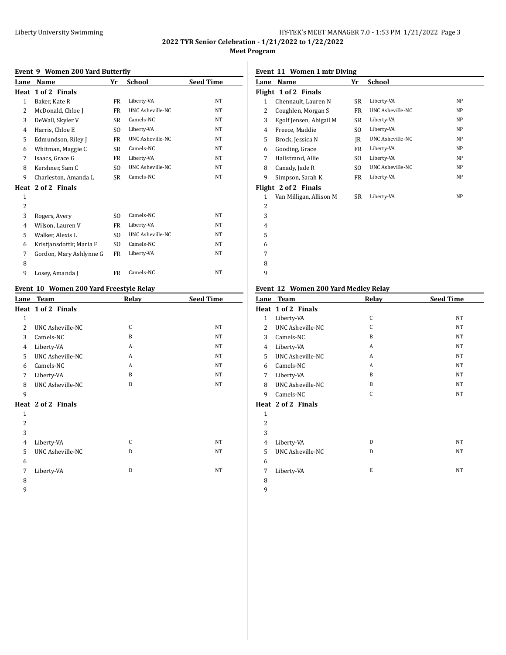# Liberty University Swimming **HY-TEK's MEET MANAGER 7.0 - 1:53 PM 1/21/2022** Page 3

**2022 TYR Senior Celebration - 1/21/2022 to 1/22/2022 Meet Program**

> 

## **Event 9 Women 200 Yard Butterfly**

| Lane           | Name                     | Yr             | School           | <b>Seed Time</b> |
|----------------|--------------------------|----------------|------------------|------------------|
| Heat           | 1 of 2 Finals            |                |                  |                  |
| $\mathbf{1}$   | Baker, Kate R            | FR             | Liberty-VA       | NT               |
| 2              | McDonald, Chloe J        | FR             | UNC Asheville-NC | NT               |
| 3              | DeWall, Skyler V         | <b>SR</b>      | Camels-NC        | NT               |
| 4              | Harris, Chloe E          | SO.            | Liberty-VA       | <b>NT</b>        |
| 5              | Edmundson, Riley J       | FR             | UNC Asheville-NC | NT               |
| 6              | Whitman, Maggie C        | <b>SR</b>      | Camels-NC        | <b>NT</b>        |
| 7              | Isaacs, Grace G          | FR             | Liberty-VA       | NT               |
| 8              | Kershner, Sam C          | S <sub>O</sub> | UNC Asheville-NC | NT               |
| 9              | Charleston, Amanda L     | <b>SR</b>      | Camels-NC        | <b>NT</b>        |
|                | Heat 2 of 2 Finals       |                |                  |                  |
| $\mathbf{1}$   |                          |                |                  |                  |
| $\overline{2}$ |                          |                |                  |                  |
| 3              | Rogers, Avery            | S <sub>O</sub> | Camels-NC        | <b>NT</b>        |
| 4              | Wilson, Lauren V         | FR             | Liberty-VA       | NT               |
| 5.             | Walker, Alexis L         | SO.            | UNC Asheville-NC | <b>NT</b>        |
| 6              | Kristjansdottir, Maria F | SO.            | Camels-NC        | NT               |
| 7              | Gordon, Mary Ashlynne G  | FR             | Liberty-VA       | NT               |
| 8              |                          |                |                  |                  |
| 9              | Losey, Amanda J          | FR             | Camels-NC        | NT               |

## **Event 10 Women 200 Yard Freestyle Relay**

|                | LVEIIU TU WUINEN ZUU TATU FIEESLYJE KEIAY |              |                  |
|----------------|-------------------------------------------|--------------|------------------|
|                | Lane Team                                 | Relay        | <b>Seed Time</b> |
|                | Heat 1 of 2 Finals                        |              |                  |
| $\mathbf{1}$   |                                           |              |                  |
| $\overline{2}$ | UNC Asheville-NC                          | C            | NT               |
| 3              | Camels-NC                                 | <sub>B</sub> | NT               |
| 4              | Liberty-VA                                | A            | <b>NT</b>        |
| 5              | <b>UNC Asheville-NC</b>                   | A            | NT               |
| 6              | Camels-NC                                 | A            | NT               |
| 7              | Liberty-VA                                | <sub>B</sub> | NT               |
| 8              | <b>UNC Asheville-NC</b>                   | <sub>B</sub> | NT               |
| 9              |                                           |              |                  |
|                | Heat 2 of 2 Finals                        |              |                  |
| $\mathbf{1}$   |                                           |              |                  |
| 2              |                                           |              |                  |
| 3              |                                           |              |                  |
| $\overline{4}$ | Liberty-VA                                | C            | NT               |
| 5              | <b>UNC Asheville-NC</b>                   | D            | NT               |
| 6              |                                           |              |                  |
| 7              | Liberty-VA                                | D            | NT               |
| 8              |                                           |              |                  |

**Event 11 Women 1 mtr Diving**

|                | EVENT II WOMEN I MINDIVING |     |                         |    |
|----------------|----------------------------|-----|-------------------------|----|
| Lane           | Name                       | Yr  | <b>School</b>           |    |
|                | Flight 1 of 2 Finals       |     |                         |    |
| 1              | Chennault, Lauren N        | SR  | Liberty-VA              | NP |
| 2              | Coughlen, Morgan S         | FR  | <b>UNC Asheville-NC</b> | NP |
| 3              | Egolf Jensen, Abigail M    | SR  | Liberty-VA              | NP |
| 4              | Freece, Maddie             | SO. | Liberty-VA              | NP |
| 5              | Brock, Jessica N           | IR  | UNC Asheville-NC        | NP |
| 6              | Gooding, Grace             | FR  | Liberty-VA              | NP |
| 7              | Hallstrand, Allie          | SO. | Liberty-VA              | NP |
| 8              | Canady, Jade R             | SO. | <b>UNC Asheville-NC</b> | NP |
| 9              | Simpson, Sarah K           | FR  | Liberty-VA              | NP |
|                | Flight 2 of 2 Finals       |     |                         |    |
| 1              | Van Milligan, Allison M    | SR  | Liberty-VA              | NP |
| 2              |                            |     |                         |    |
| 3              |                            |     |                         |    |
| $\overline{4}$ |                            |     |                         |    |
| 5              |                            |     |                         |    |
| 6              |                            |     |                         |    |

#### **Event 12 Women 200 Yard Medley Relay**

| Lane           | <b>Team</b>        | Relay | <b>Seed Time</b> |
|----------------|--------------------|-------|------------------|
|                | Heat 1 of 2 Finals |       |                  |
| $\mathbf{1}$   | Liberty-VA         | C     | <b>NT</b>        |
| 2              | UNC Asheville-NC   | C     | <b>NT</b>        |
| 3              | Camels-NC          | B     | <b>NT</b>        |
| 4              | Liberty-VA         | A     | <b>NT</b>        |
| 5              | UNC Asheville-NC   | A     | <b>NT</b>        |
| 6              | Camels-NC          | A     | <b>NT</b>        |
| 7              | Liberty-VA         | B     | <b>NT</b>        |
| 8              | UNC Asheville-NC   | B     | <b>NT</b>        |
| 9              | Camels-NC          | C     | <b>NT</b>        |
|                | Heat 2 of 2 Finals |       |                  |
| $\mathbf{1}$   |                    |       |                  |
| 2              |                    |       |                  |
| 3              |                    |       |                  |
| $\overline{4}$ | Liberty-VA         | D     | <b>NT</b>        |
| 5              | UNC Asheville-NC   | D     | <b>NT</b>        |
| 6              |                    |       |                  |
| 7              | Liberty-VA         | E     | <b>NT</b>        |
| 8              |                    |       |                  |
| 9              |                    |       |                  |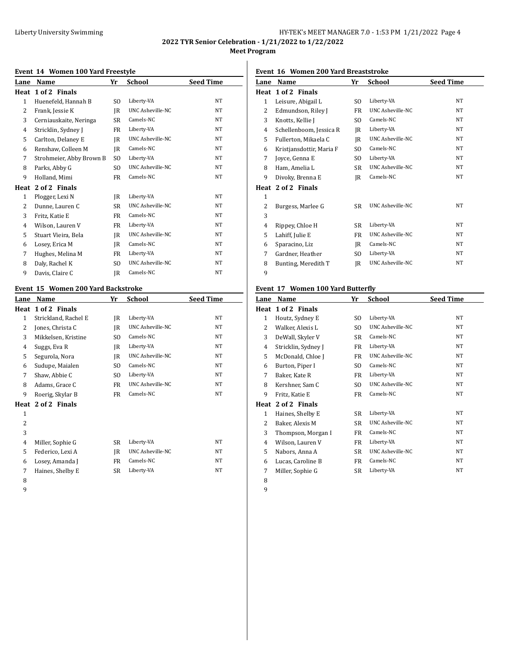# Liberty University Swimming **Exercise 2018** HY-TEK's MEET MANAGER 7.0 - 1:53 PM 1/21/2022 Page 4

**2022 TYR Senior Celebration - 1/21/2022 to 1/22/2022 Meet Program**

## **Event 14 Women 100 Yard Freestyle**

| LVEII 17 WOMEN 100 IAIU FIEESLYJE |                          |     |                  |                  |  |
|-----------------------------------|--------------------------|-----|------------------|------------------|--|
| Lane                              | Name                     | Yr  | School           | <b>Seed Time</b> |  |
| Heat                              | 1 of 2 Finals            |     |                  |                  |  |
| $\mathbf{1}$                      | Huenefeld, Hannah B      | SO. | Liberty-VA       | NT               |  |
| 2                                 | Frank, Jessie K          | JR  | UNC Asheville-NC | <b>NT</b>        |  |
| 3                                 | Cerniauskaite, Neringa   | SR  | Camels-NC        | <b>NT</b>        |  |
| 4                                 | Stricklin, Sydney J      | FR  | Liberty-VA       | NT               |  |
| 5                                 | Carlton, Delaney E       | IR  | UNC Asheville-NC | <b>NT</b>        |  |
| 6                                 | Renshaw, Colleen M       | IR  | Camels-NC        | <b>NT</b>        |  |
| 7                                 | Strohmeier, Abby Brown B | SO. | Liberty-VA       | NT               |  |
| 8                                 | Parks, Abby G            | SO. | UNC Asheville-NC | NT               |  |
| 9                                 | Holland, Mimi            | FR  | Camels-NC        | NT               |  |
| Heat                              | 2 of 2 Finals            |     |                  |                  |  |
| 1                                 | Plogger, Lexi N          | IR  | Liberty-VA       | <b>NT</b>        |  |
| 2                                 | Dunne, Lauren C          | SR  | UNC Asheville-NC | NT               |  |
| 3                                 | Fritz, Katie E           | FR  | Camels-NC        | <b>NT</b>        |  |
| 4                                 | Wilson, Lauren V         | FR  | Liberty-VA       | <b>NT</b>        |  |
| 5                                 | Stuart Vieira, Bela      | JR  | UNC Asheville-NC | <b>NT</b>        |  |
| 6                                 | Losey, Erica M           | IR  | Camels-NC        | <b>NT</b>        |  |
| 7                                 | Hughes, Melina M         | FR  | Liberty-VA       | NT               |  |
| 8                                 | Daly, Rachel K           | SO. | UNC Asheville-NC | NT               |  |
| 9                                 | Davis, Claire C          | IR  | Camels-NC        | NT               |  |

## **Event 15 Women 200 Yard Backstroke**

| LVEIIU IJ WONIEN ZOO TATU DAUNSLIJKE |                      |                |                  |                  |
|--------------------------------------|----------------------|----------------|------------------|------------------|
| Lane                                 | Name                 | Yr             | School           | <b>Seed Time</b> |
|                                      | Heat 1 of 2 Finals   |                |                  |                  |
| 1                                    | Strickland, Rachel E | IR             | Liberty-VA       | NT               |
| 2                                    | Jones, Christa C     | IR             | UNC Asheville-NC | NT               |
| 3                                    | Mikkelsen, Kristine  | S <sub>O</sub> | Camels-NC        | NT               |
| 4                                    | Suggs, Eva R         | JR             | Liberty-VA       | <b>NT</b>        |
| 5                                    | Segurola, Nora       | IR             | UNC Asheville-NC | <b>NT</b>        |
| 6                                    | Sudupe, Maialen      | SO.            | Camels-NC        | NT               |
| 7                                    | Shaw, Abbie C        | SO.            | Liberty-VA       | NT               |
| 8                                    | Adams, Grace C       | FR             | UNC Asheville-NC | <b>NT</b>        |
| 9                                    | Roerig, Skylar B     | FR             | Camels-NC        | NT               |
|                                      | Heat 2 of 2 Finals   |                |                  |                  |
| $\mathbf{1}$                         |                      |                |                  |                  |
| $\overline{c}$                       |                      |                |                  |                  |
| 3                                    |                      |                |                  |                  |
| 4                                    | Miller, Sophie G     | SR             | Liberty-VA       | NT               |
| 5                                    | Federico, Lexi A     | IR             | UNC Asheville-NC | <b>NT</b>        |
| 6                                    | Losey, Amanda J      | FR             | Camels-NC        | NT               |
| 7                                    | Haines, Shelby E     | SR             | Liberty-VA       | NT               |
| 8                                    |                      |                |                  |                  |
|                                      |                      |                |                  |                  |

#### **Event 16 Women 200 Yard Breaststroke**

| Lane           | Name                     | Yr        | School                  | <b>Seed Time</b> |
|----------------|--------------------------|-----------|-------------------------|------------------|
| Heat           | 1 of 2 Finals            |           |                         |                  |
| $\mathbf{1}$   | Leisure, Abigail L       | SO.       | Liberty-VA              | <b>NT</b>        |
| 2              | Edmundson, Riley J       | FR        | UNC Asheville-NC        | NT.              |
| 3              | Knotts, Kellie J         | SO.       | Camels-NC               | <b>NT</b>        |
| 4              | Schellenboom, Jessica R  | IR        | Liberty-VA              | <b>NT</b>        |
| 5              | Fullerton, Mikaela C     | IR        | <b>UNC Asheville-NC</b> | <b>NT</b>        |
| 6              | Kristjansdottir, Maria F | SO.       | Camels-NC               | NT               |
| 7              | Joyce, Genna E           | SO.       | Liberty-VA              | <b>NT</b>        |
| 8              | Ham, Amelia L            | <b>SR</b> | <b>UNC Asheville-NC</b> | NT               |
| 9              | Divoky, Brenna E         | IR        | Camels-NC               | <b>NT</b>        |
|                | Heat 2 of 2 Finals       |           |                         |                  |
| $\mathbf{1}$   |                          |           |                         |                  |
| 2              | Burgess, Marlee G        | SR        | <b>UNC Asheville-NC</b> | NT.              |
| 3              |                          |           |                         |                  |
| $\overline{4}$ | Rippey, Chloe H          | SR        | Liberty-VA              | <b>NT</b>        |
| 5              | Lahiff, Julie E          | <b>FR</b> | <b>UNC Asheville-NC</b> | <b>NT</b>        |
| 6              | Sparacino, Liz           | IR        | Camels-NC               | <b>NT</b>        |
| 7              | Gardner, Heather         | SO.       | Liberty-VA              | <b>NT</b>        |
| 8              | Bunting, Meredith T      | IR        | <b>UNC Asheville-NC</b> | NT               |
| 9              |                          |           |                         |                  |

## **Event 17 Women 100 Yard Butterfly**

| Lane | Name                | Yr        | School                  | <b>Seed Time</b> |
|------|---------------------|-----------|-------------------------|------------------|
| Heat | 1 of 2 Finals       |           |                         |                  |
| 1    | Houtz, Sydney E     | SO.       | Liberty-VA              | NT.              |
| 2    | Walker, Alexis L    | SO.       | UNC Asheville-NC        | NT.              |
| 3    | DeWall, Skyler V    | SR        | Camels-NC               | NT.              |
| 4    | Stricklin, Sydney J | FR        | Liberty-VA              | NT               |
| 5    | McDonald, Chloe J   | FR        | UNC Asheville-NC        | NT.              |
| 6    | Burton, Piper I     | SO.       | Camels-NC               | NT.              |
| 7    | Baker, Kate R       | FR        | Liberty-VA              | NT               |
| 8    | Kershner, Sam C     | SO.       | UNC Asheville-NC        | NT               |
| 9    | Fritz, Katie E      | FR        | Camels-NC               | NT.              |
| Heat | 2 of 2 Finals       |           |                         |                  |
| 1    | Haines, Shelby E    | SR        | Liberty-VA              | NT.              |
| 2    | Baker, Alexis M     | SR        | <b>UNC Asheville-NC</b> | NT               |
| 3    | Thompson, Morgan I  | FR        | Camels-NC               | NT.              |
| 4    | Wilson, Lauren V    | FR        | Liberty-VA              | <b>NT</b>        |
| 5    | Nabors, Anna A      | <b>SR</b> | UNC Asheville-NC        | NT               |
| 6    | Lucas, Caroline B   | FR        | Camels-NC               | NT.              |
| 7    | Miller, Sophie G    | SR        | Liberty-VA              | NT               |
| 8    |                     |           |                         |                  |